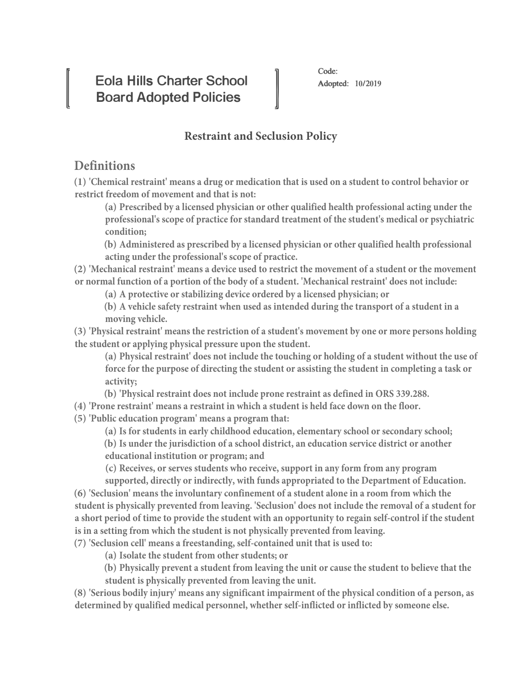**Eola Hills Charter School Board Adopted Policies**

## **Restraint and Seclusion Policy**

## **Definitions**

**IVERSIDE** 

**(1) 'Chemical restraint' means a drug or medication that is used on a student to control behavior or restrict freedom of movement and that is not:**

**(a) Prescribed by a licensed physician or other qualified health professional acting under the professional's scope of practice for standard treatment of the student's medical or psychiatric condition;**

**(b) Administered as prescribed by a licensed physician or other qualified health professional acting under the professional's scope of practice.**

**(2) 'Mechanical restraint' means a device used to restrict the movement of a student or the movement or normal function of a portion of the body of a student. 'Mechanical restraint' does not include:**

**(a) A protective or stabilizing device ordered by a licensed physician; or**

**(b) A vehicle safety restraint when used as intended during the transport of a student in a moving vehicle.**

**(3) 'Physical restraint' means the restriction of a student's movement by one or more persons holding the student or applying physical pressure upon the student.**

**(a) Physical restraint' does not include the touching or holding of a student without the use of force for the purpose of directing the student or assisting the student in completing a task or activity;**

**(b) 'Physical restraint does not include prone restraint as defined in ORS 339.288.**

**(4) 'Prone restraint' means a restraint in which a student is held face down on the floor.**

**(5) 'Public education program' means a program that:**

**(a) Is for students in early childhood education, elementary school or secondary school;**

**(b) Is under the jurisdiction of a school district, an education service district or another educational institution or program; and**

**(c) Receives, or serves students who receive, support in any form from any program** 

**supported, directly or indirectly, with funds appropriated to the Department of Education.**

**(6) 'Seclusion' means the involuntary confinement of a student alone in a room from which the student is physically prevented from leaving. 'Seclusion' does not include the removal of a student for a short period of time to provide the student with an opportunity to regain self-control if the student is in a setting from which the student is not physically prevented from leaving.**

**(7) 'Seclusion cell' means a freestanding, self-contained unit that is used to:**

**(a) Isolate the student from other students; or**

**(b) Physically prevent a student from leaving the unit or cause the student to believe that the student is physically prevented from leaving the unit.**

**(8) 'Serious bodily injury' means any significant impairment of the physical condition of a person, as determined by qualified medical personnel, whether self-inflicted or inflicted by someone else.**